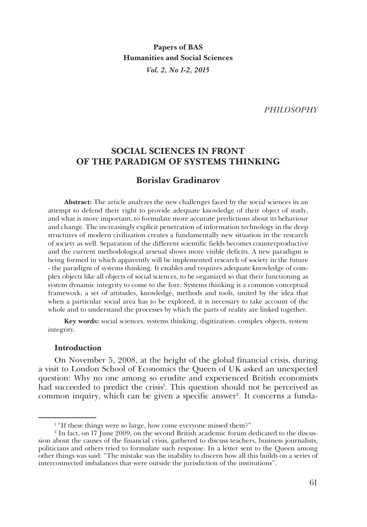**Papers of BAS Humanities and Social Sciences** *Vol. 2, No 1-2, 2015*

*PHILOSOPHY*

# **SOCIAL SCIENCES IN FRONT OF THE PARADIGM OF SYSTEMS THINKING**

## **Borislav Gradinarov**

**Abstract:** The article analyzes the new challenges faced by the social sciences in an attempt to defend their right to provide adequate knowledge of their object of study, and what is more important, to formulate more accurate predictions about its behaviour and change. The increasingly explicit penetration of information technology in the deep structures of modern civilization creates a fundamentally new situation in the research of society as well. Separation of the different scientific fields becomes counterproductive and the current methodological arsenal shows more visible deficits. A new paradigm is being formed in which apparently will be implemented research of society in the future - the paradigm of systems thinking. It enables and requires adequate knowledge of complex objects like all objects of social sciences, to be organized so that their functioning as system dynamic integrity to come to the fore. Systems thinking is a common conceptual framework, a set of attitudes, knowledge, methods and tools, united by the idea that when a particular social area has to be explored, it is necessary to take account of the whole and to understand the processes by which the parts of reality are linked together.

**Key words:** social sciences, systems thinking, digitization, complex objects, system integrity.

### **Introduction**

On November 5, 2008, at the height of the global financial crisis, during a visit to London School of Economics the Queen of UK asked an unexpected question: Why no one among so erudite and experienced British economists had succeeded to predict the crisis<sup>1</sup>. This question should not be perceived as common inquiry, which can be given a specific answer<sup>2</sup>. It concerns a funda-

<sup>&</sup>lt;sup>1</sup> "If these things were so large, how come everyone missed them?"

<sup>2</sup> In fact, on 17 June 2009, on the second British academic forum dedicated to the discussion about the causes of the financial crisis, gathered to discuss teachers, business journalists, politicians and others tried to formulate such response. In a letter sent to the Queen among other things was said: "The mistake was the inability to discern how all this builds on a series of interconnected imbalances that were outside the jurisdiction of the institutions".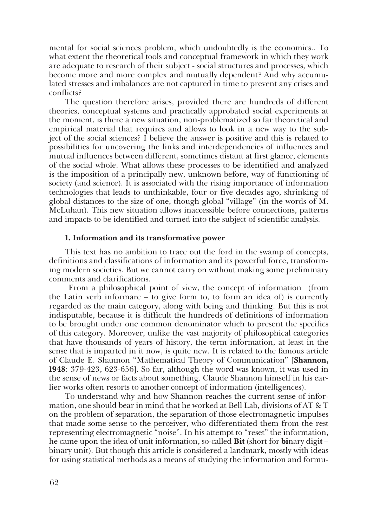mental for social sciences problem, which undoubtedly is the economics.. To what extent the theoretical tools and conceptual framework in which they work are adequate to research of their subject - social structures and processes, which become more and more complex and mutually dependent? And why accumulated stresses and imbalances are not captured in time to prevent any crises and conflicts?

The question therefore arises, provided there are hundreds of different theories, conceptual systems and practically approbated social experiments at the moment, is there a new situation, non-problematized so far theoretical and empirical material that requires and allows to look in a new way to the subject of the social sciences? I believe the answer is positive and this is related to possibilities for uncovering the links and interdependencies of influences and mutual influences between different, sometimes distant at first glance, elements of the social whole. What allows these processes to be identified and analyzed is the imposition of a principally new, unknown before, way of functioning of society (and science). It is associated with the rising importance of information technologies that leads to unthinkable, four or five decades ago, shrinking of global distances to the size of one, though global "village" (in the words of M. McLuhan). This new situation allows inaccessible before connections, patterns and impacts to be identified and turned into the subject of scientific analysis.

#### **1. Information and its transformative power**

This text has no ambition to trace out the ford in the swamp of concepts, definitions and classifications of information and its powerful force, transforming modern societies. But we cannot carry on without making some preliminary comments and clarifications.

 From a philosophical point of view, the concept of information (from the Latin verb informare – to give form to, to form an idea of) is currently regarded as the main category, along with being and thinking. But this is not indisputable, because it is difficult the hundreds of definitions of information to be brought under one common denominator which to present the specifics of this category. Moreover, unlike the vast majority of philosophical categories that have thousands of years of history, the term information, at least in the sense that is imparted in it now, is quite new. It is related to the famous article of Claude E. Shannon "Mathematical Theory of Communication" [**Shannon, 1948**: 379-423, 623-656]. So far, although the word was known, it was used in the sense of news or facts about something. Claude Shannon himself in his earlier works often resorts to another concept of information (intelligences).

To understand why and how Shannon reaches the current sense of information, one should bear in mind that he worked at Bell Lab, divisions of AT & T on the problem of separation, the separation of those electromagnetic impulses that made some sense to the perceiver, who differentiated them from the rest representing electromagnetic "noise". In his attempt to "reset" the information, he came upon the idea of unit information, so-called **Bit** (short for **bi**nary digi**t** – binary unit). But though this article is considered a landmark, mostly with ideas for using statistical methods as a means of studying the information and formu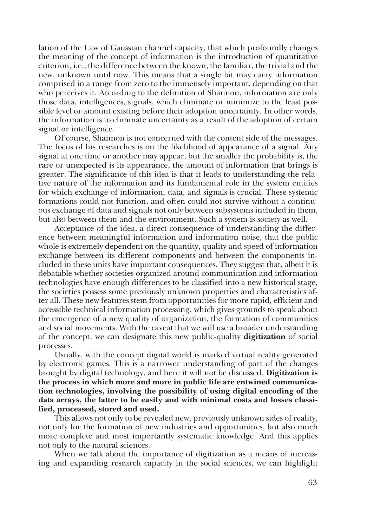lation of the Law of Gaussian channel capacity, that which profoundly changes the meaning of the concept of information is the introduction of quantitative criterion, i.e., the difference between the known, the familiar, the trivial and the new, unknown until now. This means that a single bit may carry information comprised in a range from zero to the immensely important, depending on that who perceives it. According to the definition of Shannon, information are only those data, intelligences, signals, which eliminate or minimize to the least possible level or amount existing before their adoption uncertainty. In other words, the information is to eliminate uncertainty as a result of the adoption of certain signal or intelligence.

Of course, Shannon is not concerned with the content side of the messages. The focus of his researches is on the likelihood of appearance of a signal. Any signal at one time or another may appear, but the smaller the probability is, the rare or unexpected is its appearance, the amount of information that brings is greater. The significance of this idea is that it leads to understanding the relative nature of the information and its fundamental role in the system entities for which exchange of information, data, and signals is crucial. These systemic formations could not function, and often could not survive without a continuous exchange of data and signals not only between subsystems included in them, but also between them and the environment. Such a system is society as well.

Acceptance of the idea, a direct consequence of understanding the difference between meaningful information and information noise, that the public whole is extremely dependent on the quantity, quality and speed of information exchange between its different components and between the components included in these units have important consequences. They suggest that, albeit it is debatable whether societies organized around communication and information technologies have enough differences to be classified into a new historical stage, the societies possess some previously unknown properties and characteristics after all. These new features stem from opportunities for more rapid, efficient and accessible technical information processing, which gives grounds to speak about the emergence of a new quality of organization, the formation of communities and social movements. With the caveat that we will use a broader understanding of the concept, we can designate this new public-quality **digitization** of social processes.

Usually, with the concept digital world is marked virtual reality generated by electronic games. This is a narrower understanding of part of the changes brought by digital technology, and here it will not be discussed. **Digitization is the process in which more and more in public life are entwined communication technologies, involving the possibility of using digital encoding of the data arrays, the latter to be easily and with minimal costs and losses classified, processed, stored and used.**

This allows not only to be revealed new, previously unknown sides of reality, not only for the formation of new industries and opportunities, but also much more complete and most importantly systematic knowledge. And this applies not only to the natural sciences.

When we talk about the importance of digitization as a means of increasing and expanding research capacity in the social sciences, we can highlight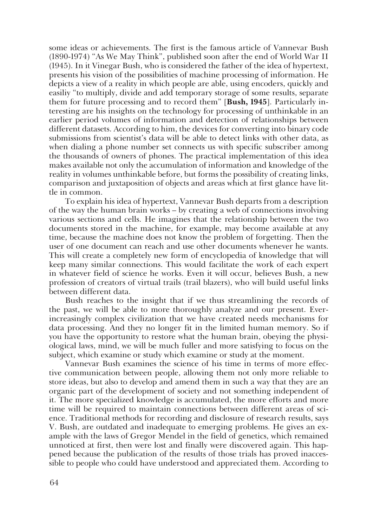some ideas or achievements. The first is the famous article of Vannevar Bush (1890-1974) "As We May Think", published soon after the end of World War II (1945). In it Vinegar Bush, who is considered the father of the idea of hypertext, presents his vision of the possibilities of machine processing of information. He depicts a view of a reality in which people are able, using encoders, quickly and easiliy "to multiply, divide and add temporary storage of some results, separate them for future processing and to record them" [**Bush, 1945**]. Particularly interesting are his insights on the technology for processing of unthinkable in an earlier period volumes of information and detection of relationships between different datasets. According to him, the devices for converting into binary code submissions from scientist's data will be able to detect links with other data, as when dialing a phone number set connects us with specific subscriber among the thousands of owners of phones. The practical implementation of this idea makes available not only the accumulation of information and knowledge of the reality in volumes unthinkable before, but forms the possibility of creating links, comparison and juxtaposition of objects and areas which at first glance have little in common.

To explain his idea of hypertext, Vannevar Bush departs from a description of the way the human brain works – by creating a web of connections involving various sections and cells. He imagines that the relationship between the two documents stored in the machine, for example, may become available at any time, because the machine does not know the problem of forgetting. Then the user of one document can reach and use other documents whenever he wants. This will create a completely new form of encyclopedia of knowledge that will keep many similar connections. This would facilitate the work of each expert in whatever field of science he works. Even it will occur, believes Bush, a new profession of creators of virtual trails (trail blazers), who will build useful links between different data.

Bush reaches to the insight that if we thus streamlining the records of the past, we will be able to more thoroughly analyze and our present. Everincreasingly complex civilization that we have created needs mechanisms for data processing. And they no longer fit in the limited human memory. So if you have the opportunity to restore what the human brain, obeying the physiological laws, mind, we will be much fuller and more satisfying to focus on the subject, which examine or study which examine or study at the moment.

Vannevar Bush examines the science of his time in terms of more effective communication between people, allowing them not only more reliable to store ideas, but also to develop and amend them in such a way that they are an organic part of the development of society and not something independent of it. The more specialized knowledge is accumulated, the more efforts and more time will be required to maintain connections between different areas of science. Traditional methods for recording and disclosure of research results, says V. Bush, are outdated and inadequate to emerging problems. He gives an example with the laws of Gregor Mendel in the field of genetics, which remained unnoticed at first, then were lost and finally were discovered again. This happened because the publication of the results of those trials has proved inaccessible to people who could have understood and appreciated them. According to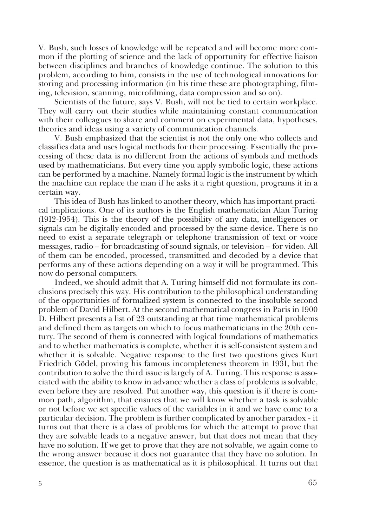V. Bush, such losses of knowledge will be repeated and will become more common if the plotting of science and the lack of opportunity for effective liaison between disciplines and branches of knowledge continue. The solution to this problem, according to him, consists in the use of technological innovations for storing and processing information (in his time these are photographing, filming, television, scanning, microfilming, data compression and so on).

Scientists of the future, says V. Bush, will not be tied to certain workplace. They will carry out their studies while maintaining constant communication with their colleagues to share and comment on experimental data, hypotheses, theories and ideas using a variety of communication channels.

V. Bush emphasized that the scientist is not the only one who collects and classifies data and uses logical methods for their processing. Essentially the processing of these data is no different from the actions of symbols and methods used by mathematicians. But every time you apply symbolic logic, these actions can be performed by a machine. Namely formal logic is the instrument by which the machine can replace the man if he asks it a right question, programs it in a certain way.

This idea of Bush has linked to another theory, which has important practical implications. One of its authors is the English mathematician Alan Turing (1912-1954). This is the theory of the possibility of any data, intelligences or signals can be digitally encoded and processed by the same device. There is no need to exist a separate telegraph or telephone transmission of text or voice messages, radio – for broadcasting of sound signals, or television – for video. All of them can be encoded, processed, transmitted and decoded by a device that performs any of these actions depending on a way it will be programmed. This now do personal computers.

Indeed, we should admit that A. Turing himself did not formulate its conclusions precisely this way. His contribution to the philosophical understanding of the opportunities of formalized system is connected to the insoluble second problem of David Hilbert. At the second mathematical congress in Paris in 1900 D. Hilbert presents a list of 23 outstanding at that time mathematical problems and defined them as targets on which to focus mathematicians in the 20th century. The second of them is connected with logical foundations of mathematics and to whether mathematics is complete, whether it is self-consistent system and whether it is solvable. Negative response to the first two questions gives Kurt Friedrich Gödel, proving his famous incompleteness theorem in 1931, but the contribution to solve the third issue is largely of A. Turing. This response is associated with the ability to know in advance whether a class of problems is solvable, even before they are resolved. Put another way, this question is if there is common path, algorithm, that ensures that we will know whether a task is solvable or not before we set specific values of the variables in it and we have come to a particular decision. The problem is further complicated by another paradox - it turns out that there is a class of problems for which the attempt to prove that they are solvable leads to a negative answer, but that does not mean that they have no solution. If we get to prove that they are not solvable, we again come to the wrong answer because it does not guarantee that they have no solution. In essence, the question is as mathematical as it is philosophical. It turns out that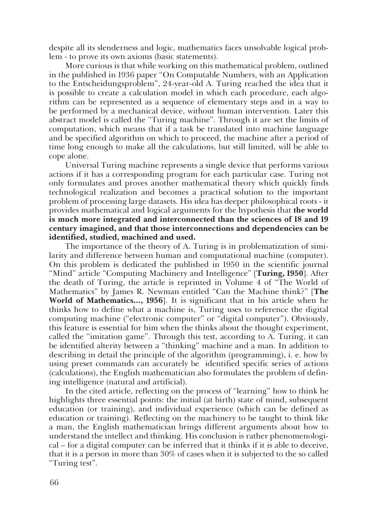despite all its slenderness and logic, mathematics faces unsolvable logical problem - to prove its own axioms (basic statements).

More curious is that while working on this mathematical problem, outlined in the published in 1936 paper "On Computable Numbers, with an Application to the Entscheidungsproblem", 24-year-old A. Turing reached the idea that it is possible to create a calculation model in which each procedure, each algorithm can be represented as a sequence of elementary steps and in a way to be performed by a mechanical device, without human intervention. Later this abstract model is called the "Turing machine". Through it are set the limits of computation, which means that if a task be translated into machine language and be specified algorithm on which to proceed, the machine after a period of time long enough to make all the calculations, but still limited, will be able to cope alone.

Universal Turing machine represents a single device that performs various actions if it has a corresponding program for each particular case. Turing not only formulates and proves another mathematical theory which quickly finds technological realization and becomes a practical solution to the important problem of processing large datasets. His idea has deeper philosophical roots - it provides mathematical and logical arguments for the hypothesis that **the world is much more integrated and interconnected than the sciences of 18 and 19 century imagined, and that those interconnections and dependencies can be identified, studied, machined and used.**

The importance of the theory of A. Turing is in problematization of similarity and difference between human and computational machine (computer). On this problem is dedicated the published in 1950 in the scientific journal "Mind" article "Computing Machinery and Intelligence" [**Turing, 1950**]. After the death of Turing, the article is reprinted in Volume 4 of "The World of Mathematics" by James R. Newman entitled "Can the Machine think?" [**The World of Mathematics…, 1956**]. It is significant that in his article when he thinks how to define what a machine is, Turing uses to reference the digital computing machine ("electronic computer" or "digital computer"). Obviously, this feature is essential for him when the thinks about the thought experiment, called the "imitation game". Through this test, according to A. Turing, it can be identified alterity between a "thinking" machine and a man. In addition to describing in detail the principle of the algorithm (programming), i. e. how by using preset commands can accurately be identified specific series of actions (calculations), the English mathematician also formulates the problem of defining intelligence (natural and artificial).

In the cited article, reflecting on the process of "learning" how to think he highlights three essential points: the initial (at birth) state of mind, subsequent education (or training), and individual experience (which can be defined as education or training). Reflecting on the machinery to be taught to think like a man, the English mathematician brings different arguments about how to understand the intellect and thinking. His conclusion is rather phenomenological – for a digital computer can be inferred that it thinks if it is able to deceive, that it is a person in more than 30% of cases when it is subjected to the so called "Turing test".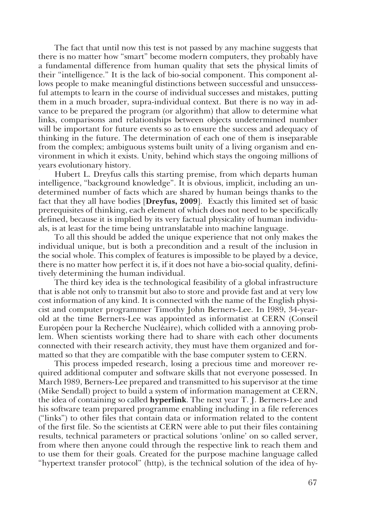The fact that until now this test is not passed by any machine suggests that there is no matter how "smart" become modern computers, they probably have a fundamental difference from human quality that sets the physical limits of their "intelligence." It is the lack of bio-social component. This component allows people to make meaningful distinctions between successful and unsuccessful attempts to learn in the course of individual successes and mistakes, putting them in a much broader, supra-individual context. But there is no way in advance to be prepared the program (or algorithm) that allow to determine what links, comparisons and relationships between objects undetermined number will be important for future events so as to ensure the success and adequacy of thinking in the future. The determination of each one of them is inseparable from the complex; ambiguous systems built unity of a living organism and environment in which it exists. Unity, behind which stays the ongoing millions of years evolutionary history.

Hubert L. Dreyfus calls this starting premise, from which departs human intelligence, "background knowledge". It is obvious, implicit, including an undetermined number of facts which are shared by human beings thanks to the fact that they all have bodies [**Dreyfus, 2009**]. Exactly this limited set of basic prerequisites of thinking, each element of which does not need to be specifically defined, because it is implied by its very factual physicality of human individuals, is at least for the time being untranslatable into machine language.

To all this should be added the unique experience that not only makes the individual unique, but is both a precondition and a result of the inclusion in the social whole. This complex of features is impossible to be played by a device, there is no matter how perfect it is, if it does not have a bio-social quality, definitively determining the human individual.

The third key idea is the technological feasibility of a global infrastructure that is able not only to transmit but also to store and provide fast and at very low cost information of any kind. It is connected with the name of the English physicist and computer programmer Timothy John Berners-Lee. In 1989, 34-yearold at the time Berners-Lee was appointed as informatist at CERN (Conseil Européen pour la Recherche Nucléaire), which collided with a annoying problem. When scientists working there had to share with each other documents connected with their research activity, they must have them organized and formatted so that they are compatible with the base computer system to CERN.

This process impeded research, losing a precious time and moreover required additional computer and software skills that not everyone possessed. In March 1989, Berners-Lee prepared and transmitted to his supervisor at the time (Mike Sendall) project to build a system of information management at CERN, the idea of containing so called **hyperlink**. The next year T. J. Berners-Lee and his software team prepared programme enabling including in a file references ("links") to other files that contain data or information related to the content of the first file. So the scientists at CERN were able to put their files containing results, technical parameters or practical solutions 'online' on so called server, from where then anyone could through the respective link to reach them and to use them for their goals. Created for the purpose machine language called "hypertext transfer protocol" (http), is the technical solution of the idea of hy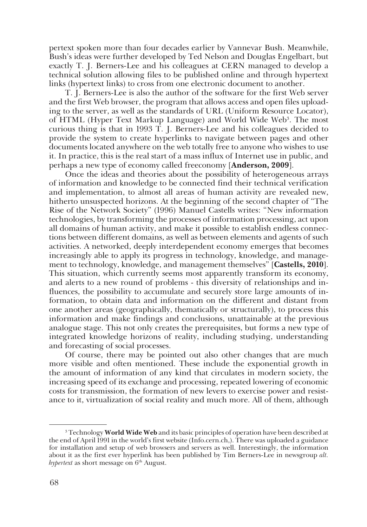pertext spoken more than four decades earlier by Vannevar Bush. Meanwhile, Bush's ideas were further developed by Ted Nelson and Douglas Engelbart, but exactly T. J. Berners-Lee and his colleagues at CERN managed to develop a technical solution allowing files to be published online and through hypertext links (hypertext links) to cross from one electronic document to another.

T. J. Berners-Lee is also the author of the software for the first Web server and the first Web browser, the program that allows access and open files uploading to the server, as well as the standards of URL (Uniform Resource Locator), of HTML (Hyper Text Markup Language) and World Wide Web<sup>3</sup>. The most curious thing is that in 1993 T. J. Berners-Lee and his colleagues decided to provide the system to create hyperlinks to navigate between pages and other documents located anywhere on the web totally free to anyone who wishes to use it. In practice, this is the real start of a mass influx of Internet use in public, and perhaps a new type of economy called freeconomy [**Anderson, 2009**].

Once the ideas and theories about the possibility of heterogeneous arrays of information and knowledge to be connected find their technical verification and implementation, to almost all areas of human activity are revealed new, hitherto unsuspected horizons. At the beginning of the second chapter of "The Rise of the Network Society" (1996) Manuel Castells writes: "New information technologies, by transforming the processes of information processing, act upon all domains of human activity, and make it possible to establish endless connections between different domains, as well as between elements and agents of such activities. A networked, deeply interdependent economy emerges that becomes increasingly able to apply its progress in technology, knowledge, and management to technology, knowledge, and management themselves" [**Castells, 2010**]. This situation, which currently seems most apparently transform its economy, and alerts to a new round of problems - this diversity of relationships and influences, the possibility to accumulate and securely store large amounts of information, to obtain data and information on the different and distant from one another areas (geographically, thematically or structurally), to process this information and make findings and conclusions, unattainable at the previous analogue stage. This not only creates the prerequisites, but forms a new type of integrated knowledge horizons of reality, including studying, understanding and forecasting of social processes.

Of course, there may be pointed out also other changes that are much more visible and often mentioned. These include the exponential growth in the amount of information of any kind that circulates in modern society, the increasing speed of its exchange and processing, repeated lowering of economic costs for transmission, the formation of new levers to exercise power and resistance to it, virtualization of social reality and much more. All of them, although

<sup>3</sup> Technology **World Wide Web** and its basic principles of operation have been described at the end of April 1991 in the world's first website (Info.cern.ch,). There was uploaded a guidance for installation and setup of web browsers and servers as well. Interestingly, the information about it as the first ever hyperlink has been published by Tim Berners-Lee in newsgroup *alt. hypertext* as short message on  $6<sup>th</sup>$  August.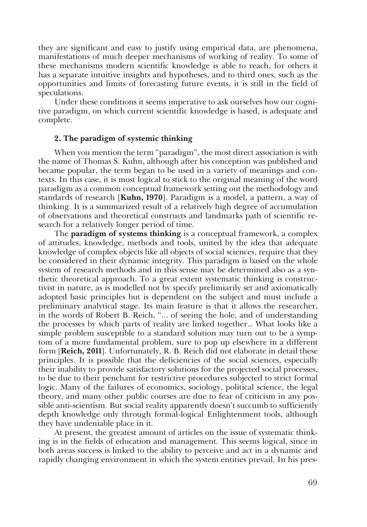they are significant and easy to justify using empirical data, are phenomena, manifestations of much deeper mechanisms of working of reality. To some of these mechanisms modern scientific knowledge is able to reach, for others it has a separate intuitive insights and hypotheses, and to third ones, such as the opportunities and limits of forecasting future events, it is still in the field of speculations.

Under these conditions it seems imperative to ask ourselves how our cognitive paradigm, on which current scientific knowledge is based, is adequate and complete.

#### **2. The paradigm of systemic thinking**

When you mention the term "paradigm", the most direct association is with the name of Thomas S. Kuhn, although after his conception was published and became popular, the term began to be used in a variety of meanings and contexts. In this case, it is most logical to stick to the original meaning of the word paradigm as a common conceptual framework setting out the methodology and standards of research [**Kuhn, 1970**]. Paradigm is a model, a pattern, a way of thinking. It is a summarized result of a relatively high degree of accumulation of observations and theoretical constructs and landmarks path of scientific research for a relatively longer period of time.

The **paradigm of systems thinking** is a conceptual framework, a complex of attitudes, knowledge, methods and tools, united by the idea that adequate knowledge of complex objects like all objects of social sciences, require that they be considered in their dynamic integrity. This paradigm is based on the whole system of research methods and in this sense may be determined also as a synthetic theoretical approach. To a great extent systematic thinking is constructivist in nature, as is modelled not by specify prelimiarily set and axiomatically adopted basic principles but is dependent on the subject and must include a preliminary analytical stage. Its main feature is that it allows the researcher, in the words of Robert B. Reich, "... of seeing the hole, and of understanding the processes by which parts of reality are linked together… What looks like a simple problem susceptible to a standard solution may turn out to be a symptom of a more fundamental problem, sure to pop up elsewhere in a different form [**Reich, 2011**]. Unfortunately, R. B. Reich did not elaborate in detail these principles. It is possible that the deficiencies of the social sciences, especially their inability to provide satisfactory solutions for the projected social processes, to be due to their penchant for restrictive procedures subjected to strict formal logic. Many of the failures of economics, sociology, political science, the legal theory, and many other public courses are due to fear of criticism in any possible anti-scientism. But social reality apparently doesn't succumb to sufficiently depth knowledge only through formal-logical Enlightenment tools, although they have undeniable place in it.

At present, the greatest amount of articles on the issue of systematic thinking is in the fields of education and management. This seems logical, since in both areas success is linked to the ability to perceive and act in a dynamic and rapidly changing environment in which the system entities prevail. In his pres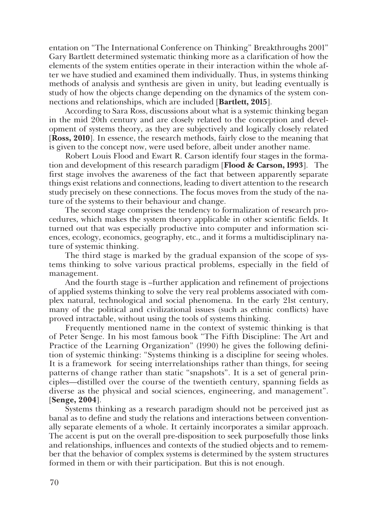entation on "The International Conference on Thinking" Breakthroughs 2001" Gary Bartlett determined systematic thinking more as a clarification of how the elements of the system entities operate in their interaction within the whole after we have studied and examined them individually. Thus, in systems thinking methods of analysis and synthesis are given in unity, but leading eventually is study of how the objects change depending on the dynamics of the system connections and relationships, which are included [**Bartlett, 2015**].

According to Sara Ross, discussions about what is a systemic thinking began in the mid 20th century and are closely related to the conception and development of systems theory, as they are subjectively and logically closely related [**Ross, 2010**]. In essence, the research methods, fairly close to the meaning that is given to the concept now, were used before, albeit under another name.

Robert Louis Flood and Ewart R. Carson identify four stages in the formation and development of this research paradigm [**Flood & Carson, 1993**]. The first stage involves the awareness of the fact that between apparently separate things exist relations and connections, leading to divert attention to the research study precisely on these connections. The focus moves from the study of the nature of the systems to their behaviour and change.

The second stage comprises the tendency to formalization of research procedures, which makes the system theory applicable in other scientific fields. It turned out that was especially productive into computer and information sciences, ecology, economics, geography, etc., and it forms a multidisciplinary nature of systemic thinking.

The third stage is marked by the gradual expansion of the scope of systems thinking to solve various practical problems, especially in the field of management.

And the fourth stage is –further application and refinement of projections of applied systems thinking to solve the very real problems associated with complex natural, technological and social phenomena. In the early 21st century, many of the political and civilizational issues (such as ethnic conflicts) have proved intractable, without using the tools of systems thinking.

Frequently mentioned name in the context of systemic thinking is that of Peter Senge. In his most famous book "The Fifth Discipline: The Art and Practice of the Learning Organization" (1990) he gives the following definition of systemic thinking: "Systems thinking is a discipline for seeing wholes. It is a framework for seeing interrelationships rather than things, for seeing patterns of change rather than static "snapshots". It is a set of general principles—distilled over the course of the twentieth century, spanning fields as diverse as the physical and social sciences, engineering, and management". [**Senge, 2004**].

Systems thinking as a research paradigm should not be perceived just as banal as to define and study the relations and interactions between conventionally separate elements of a whole. It certainly incorporates a similar approach. The accent is put on the overall pre-disposition to seek purposefully those links and relationships, influences and contexts of the studied objects and to remember that the behavior of complex systems is determined by the system structures formed in them or with their participation. But this is not enough.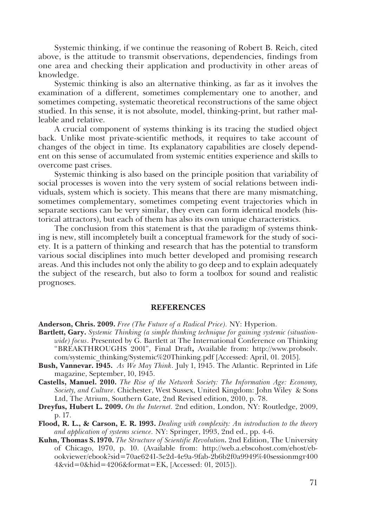Systemic thinking, if we continue the reasoning of Robert B. Reich, cited above, is the attitude to transmit observations, dependencies, findings from one area and checking their application and productivity in other areas of knowledge.

Systemic thinking is also an alternative thinking, as far as it involves the examination of a different, sometimes complementary one to another, and sometimes competing, systematic theoretical reconstructions of the same object studied. In this sense, it is not absolute, model, thinking-print, but rather malleable and relative.

A crucial component of systems thinking is its tracing the studied object back. Unlike most private-scientific methods, it requires to take account of changes of the object in time. Its explanatory capabilities are closely dependent on this sense of accumulated from systemic entities experience and skills to overcome past crises.

Systemic thinking is also based on the principle position that variability of social processes is woven into the very system of social relations between individuals, system which is society. This means that there are many mismatching, sometimes complementary, sometimes competing event trajectories which in separate sections can be very similar, they even can form identical models (historical attractors), but each of them has also its own unique characteristics.

The conclusion from this statement is that the paradigm of systems thinking is new, still incompletely built a conceptual framework for the study of society. It is a pattern of thinking and research that has the potential to transform various social disciplines into much better developed and promising research areas. And this includes not only the ability to go deep and to explain adequately the subject of the research, but also to form a toolbox for sound and realistic prognoses.

#### **REFERENCES**

**Anderson, Chris. 2009.** *Free (The Future of a Radical Price).* NY: Hyperion.

- **Bartlett, Gary.** *Systemic Thinking (a simple thinking technique for gaining systemic (situationwide) focus*. Presented by G. Bartlett at The International Conference on Thinking "BREAKTHROUGHS 2001", Final Draft**,** Available from: http://www.probsolv. com/systemic\_thinking/Systemic%20Thinking.pdf [Accessed: April, 01. 2015].
- **Bush, Vannevar. 1945.** *As We May Think*. July 1, 1945. The Atlantic. Reprinted in Life magazine, September, 10, 1945.
- **Castells, Manuel. 2010.** *The Rise of the Network Society: The Information Age: Economy, Society, and Culture*. Chichester, West Sussex, United Kingdom: John Wiley & Sons Ltd, The Atrium, Southern Gate, 2nd Revised edition, 2010, p. 78.
- **Dreyfus, Hubert L. 2009.** *On the Internet.* 2nd edition, London, NY: Routledge, 2009, p. 17.
- **Flood, R. L., & Carson, E. R. 1993.** *Dealing with complexity: An introduction to the theory and application of systems science.* NY: Springer, 1993, 2nd ed., pp. 4-6.
- **Kuhn, Thomas S. 1970.** *The Structure of Scientific Revolution.* 2nd Edition, The University of Chicago, 1970, p. 10. (Available from: http://web.a.ebscohost.com/ehost/ebookviewer/ebook?sid=70ae6241-3e2d-4e9a-9fab-2b6b2f0a9949%40sessionmgr400 4&vid=0&hid=4206&format=EK, [Accessed: 01, 2015]).